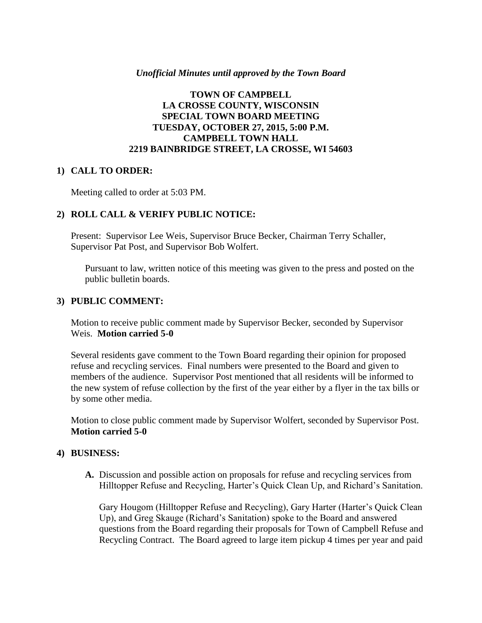#### *Unofficial Minutes until approved by the Town Board*

#### **TOWN OF CAMPBELL LA CROSSE COUNTY, WISCONSIN SPECIAL TOWN BOARD MEETING TUESDAY, OCTOBER 27, 2015, 5:00 P.M. CAMPBELL TOWN HALL 2219 BAINBRIDGE STREET, LA CROSSE, WI 54603**

#### **1) CALL TO ORDER:**

Meeting called to order at 5:03 PM.

#### **2) ROLL CALL & VERIFY PUBLIC NOTICE:**

Present: Supervisor Lee Weis, Supervisor Bruce Becker, Chairman Terry Schaller, Supervisor Pat Post, and Supervisor Bob Wolfert.

Pursuant to law, written notice of this meeting was given to the press and posted on the public bulletin boards.

#### **3) PUBLIC COMMENT:**

Motion to receive public comment made by Supervisor Becker, seconded by Supervisor Weis. **Motion carried 5-0**

Several residents gave comment to the Town Board regarding their opinion for proposed refuse and recycling services. Final numbers were presented to the Board and given to members of the audience. Supervisor Post mentioned that all residents will be informed to the new system of refuse collection by the first of the year either by a flyer in the tax bills or by some other media.

Motion to close public comment made by Supervisor Wolfert, seconded by Supervisor Post. **Motion carried 5-0**

#### **4) BUSINESS:**

**A.** Discussion and possible action on proposals for refuse and recycling services from Hilltopper Refuse and Recycling, Harter's Quick Clean Up, and Richard's Sanitation.

Gary Hougom (Hilltopper Refuse and Recycling), Gary Harter (Harter's Quick Clean Up), and Greg Skauge (Richard's Sanitation) spoke to the Board and answered questions from the Board regarding their proposals for Town of Campbell Refuse and Recycling Contract. The Board agreed to large item pickup 4 times per year and paid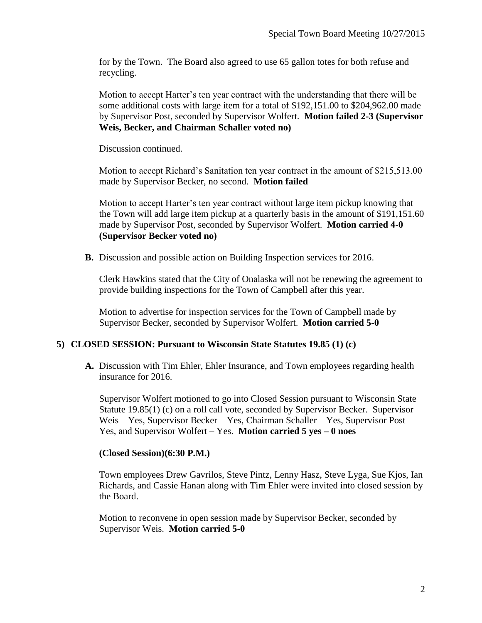for by the Town. The Board also agreed to use 65 gallon totes for both refuse and recycling.

Motion to accept Harter's ten year contract with the understanding that there will be some additional costs with large item for a total of \$192,151.00 to \$204,962.00 made by Supervisor Post, seconded by Supervisor Wolfert. **Motion failed 2-3 (Supervisor Weis, Becker, and Chairman Schaller voted no)**

Discussion continued.

Motion to accept Richard's Sanitation ten year contract in the amount of \$215,513.00 made by Supervisor Becker, no second. **Motion failed**

Motion to accept Harter's ten year contract without large item pickup knowing that the Town will add large item pickup at a quarterly basis in the amount of \$191,151.60 made by Supervisor Post, seconded by Supervisor Wolfert. **Motion carried 4-0 (Supervisor Becker voted no)**

**B.** Discussion and possible action on Building Inspection services for 2016.

Clerk Hawkins stated that the City of Onalaska will not be renewing the agreement to provide building inspections for the Town of Campbell after this year.

Motion to advertise for inspection services for the Town of Campbell made by Supervisor Becker, seconded by Supervisor Wolfert. **Motion carried 5-0**

## **5) CLOSED SESSION: Pursuant to Wisconsin State Statutes 19.85 (1) (c)**

**A.** Discussion with Tim Ehler, Ehler Insurance, and Town employees regarding health insurance for 2016.

Supervisor Wolfert motioned to go into Closed Session pursuant to Wisconsin State Statute 19.85(1) (c) on a roll call vote, seconded by Supervisor Becker. Supervisor Weis – Yes, Supervisor Becker – Yes, Chairman Schaller – Yes, Supervisor Post – Yes, and Supervisor Wolfert – Yes. **Motion carried 5 yes – 0 noes** 

## **(Closed Session)(6:30 P.M.)**

Town employees Drew Gavrilos, Steve Pintz, Lenny Hasz, Steve Lyga, Sue Kjos, Ian Richards, and Cassie Hanan along with Tim Ehler were invited into closed session by the Board.

Motion to reconvene in open session made by Supervisor Becker, seconded by Supervisor Weis. **Motion carried 5-0**